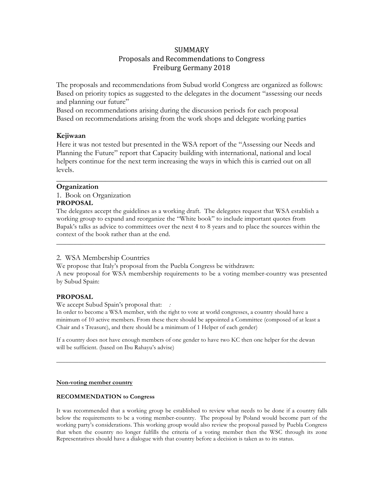# SUMMARY

## Proposals and Recommendations to Congress Freiburg Germany 2018

The proposals and recommendations from Subud world Congress are organized as follows: Based on priority topics as suggested to the delegates in the document "assessing our needs and planning our future"

Based on recommendations arising during the discussion periods for each proposal Based on recommendations arising from the work shops and delegate working parties

### **Kejiwaan**

Here it was not tested but presented in the WSA report of the "Assessing our Needs and Planning the Future" report that Capacity building with international, national and local helpers continue for the next term increasing the ways in which this is carried out on all levels.

\_\_\_\_\_\_\_\_\_\_\_\_\_\_\_\_\_\_\_\_\_\_\_\_\_\_\_\_\_\_\_\_\_\_\_\_\_\_\_\_\_\_\_\_\_\_\_\_\_\_\_\_\_\_\_\_\_\_\_\_\_\_\_\_\_\_\_\_\_\_\_\_

## **Organization**

1. Book on Organization **PROPOSAL**

The delegates accept the guidelines as a working draft. The delegates request that WSA establish a working group to expand and reorganize the "White book" to include important quotes from Bapak's talks as advice to committees over the next 4 to 8 years and to place the sources within the context of the book rather than at the end.

\_\_\_\_\_\_\_\_\_\_\_\_\_\_\_\_\_\_\_\_\_\_\_\_\_\_\_\_\_\_\_\_\_\_\_\_\_\_\_\_\_\_\_\_\_\_\_\_\_\_\_\_\_\_\_\_\_\_\_\_\_\_\_\_\_\_\_\_\_\_\_\_\_\_\_\_\_\_

## 2. WSA Membership Countries

We propose that Italy's proposal from the Puebla Congress be withdrawn: A new proposal for WSA membership requirements to be a voting member-country was presented by Subud Spain:

#### **PROPOSAL**

We accept Subud Spain's proposal that: *:*

In order to become a WSA member, with the right to vote at world congresses, a country should have a minimum of 10 active members. From these there should be appointed a Committee (composed of at least a Chair and s Treasure), and there should be a minimum of 1 Helper of each gender)

If a country does not have enough members of one gender to have two KC then one helper for the dewan will be sufficient. (based on Ibu Rahayu's advise)

**\_\_\_\_\_\_\_\_\_\_\_\_\_\_\_\_\_\_\_\_\_\_\_\_\_\_\_\_\_\_\_\_\_\_\_\_\_\_\_\_\_\_\_\_\_\_\_\_\_\_\_\_\_\_\_\_\_\_\_\_\_\_\_\_\_\_\_\_\_\_\_\_\_\_\_\_\_\_\_\_\_\_\_\_\_\_**

#### **Non-voting member country**

#### **RECOMMENDATION to Congress**

It was recommended that a working group be established to review what needs to be done if a country falls below the requirements to be a voting member-country. The proposal by Poland would become part of the working party's considerations. This working group would also review the proposal passed by Puebla Congress that when the country no longer fulfills the criteria of a voting member then the WSC through its zone Representatives should have a dialogue with that country before a decision is taken as to its status.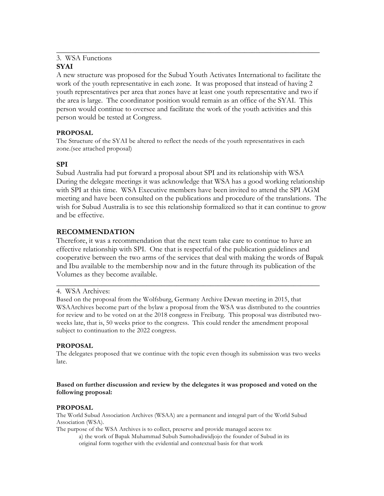# 3. WSA Functions

## **SYAI**

A new structure was proposed for the Subud Youth Activates International to facilitate the work of the youth representative in each zone. It was proposed that instead of having 2 youth representatives per area that zones have at least one youth representative and two if the area is large. The coordinator position would remain as an office of the SYAI. This person would continue to oversee and facilitate the work of the youth activities and this person would be tested at Congress.

\_\_\_\_\_\_\_\_\_\_\_\_\_\_\_\_\_\_\_\_\_\_\_\_\_\_\_\_\_\_\_\_\_\_\_\_\_\_\_\_\_\_\_\_\_\_\_\_\_\_\_\_\_\_\_\_\_\_\_\_\_\_\_\_\_\_\_\_\_\_

## **PROPOSAL**

The Structure of the SYAI be altered to reflect the needs of the youth representatives in each zone.(see attached proposal)

# **SPI**

Subud Australia had put forward a proposal about SPI and its relationship with WSA During the delegate meetings it was acknowledge that WSA has a good working relationship with SPI at this time. WSA Executive members have been invited to attend the SPI AGM meeting and have been consulted on the publications and procedure of the translations. The wish for Subud Australia is to see this relationship formalized so that it can continue to grow and be effective.

# **RECOMMENDATION**

Therefore, it was a recommendation that the next team take care to continue to have an effective relationship with SPI. One that is respectful of the publication guidelines and cooperative between the two arms of the services that deal with making the words of Bapak and Ibu available to the membership now and in the future through its publication of the Volumes as they become available.

\_\_\_\_\_\_\_\_\_\_\_\_\_\_\_\_\_\_\_\_\_\_\_\_\_\_\_\_\_\_\_\_\_\_\_\_\_\_\_\_\_\_\_\_\_\_\_\_\_\_\_\_\_\_\_\_\_\_\_\_\_\_\_\_\_\_\_\_\_\_

## 4. WSA Archives:

Based on the proposal from the Wolfsburg, Germany Archive Dewan meeting in 2015, that WSAArchives become part of the bylaw a proposal from the WSA was distributed to the countries for review and to be voted on at the 2018 congress in Freiburg. This proposal was distributed twoweeks late, that is, 50 weeks prior to the congress. This could render the amendment proposal subject to continuation to the 2022 congress.

## **PROPOSAL**

The delegates proposed that we continue with the topic even though its submission was two weeks late.

## **Based on further discussion and review by the delegates it was proposed and voted on the following proposal:**

## **PROPOSAL**

The World Subud Association Archives (WSAA) are a permanent and integral part of the World Subud Association (WSA).

The purpose of the WSA Archives is to collect, preserve and provide managed access to: a) the work of Bapak Muhammad Subuh Sumohadiwidjojo the founder of Subud in its original form together with the evidential and contextual basis for that work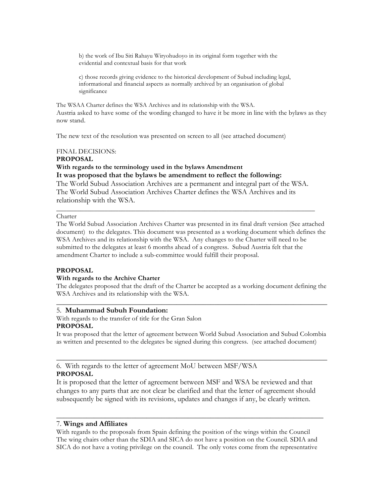b) the work of Ibu Siti Rahayu Wiryohudoyo in its original form together with the evidential and contextual basis for that work

c) those records giving evidence to the historical development of Subud including legal, informational and financial aspects as normally archived by an organisation of global significance

The WSAA Charter defines the WSA Archives and its relationship with the WSA. Austria asked to have some of the wording changed to have it be more in line with the bylaws as they now stand.

The new text of the resolution was presented on screen to all (see attached document)

#### FINAL DECISIONS: **PROPOSAL**

**With regards to the terminology used in the bylaws Amendment It was proposed that the bylaws be amendment to reflect the following:**

The World Subud Association Archives are a permanent and integral part of the WSA. The World Subud Association Archives Charter defines the WSA Archives and its relationship with the WSA.

**\_\_\_\_\_\_\_\_\_\_\_\_\_\_\_\_\_\_\_\_\_\_\_\_\_\_\_\_\_\_\_\_\_\_\_\_\_\_\_\_\_\_\_\_\_\_\_\_\_\_\_\_\_\_\_\_\_\_\_\_\_\_\_\_\_\_\_\_\_\_\_\_\_\_\_**

#### Charter

The World Subud Association Archives Charter was presented in its final draft version (See attached document) to the delegates. This document was presented as a working document which defines the WSA Archives and its relationship with the WSA. Any changes to the Charter will need to be submitted to the delegates at least 6 months ahead of a congress. Subud Austria felt that the amendment Charter to include a sub-committee would fulfill their proposal.

#### **PROPOSAL**

### **With regards to the Archive Charter**

The delegates proposed that the draft of the Charter be accepted as a working document defining the WSA Archives and its relationship with the WSA. \_\_\_\_\_\_\_\_\_\_\_\_\_\_\_\_\_\_\_\_\_\_\_\_\_\_\_\_\_\_\_\_\_\_\_\_\_\_\_\_\_\_\_\_\_\_\_\_\_\_\_\_\_\_\_\_\_\_\_\_\_\_\_\_\_\_\_\_\_\_\_\_

#### 5. **Muhammad Subuh Foundation:**

With regards to the transfer of title for the Gran Salon **PROPOSAL**

It was proposed that the letter of agreement between World Subud Association and Subud Colombia as written and presented to the delegates be signed during this congress. (see attached document)

\_\_\_\_\_\_\_\_\_\_\_\_\_\_\_\_\_\_\_\_\_\_\_\_\_\_\_\_\_\_\_\_\_\_\_\_\_\_\_\_\_\_\_\_\_\_\_\_\_\_\_\_\_\_\_\_\_\_\_\_\_\_\_\_\_\_\_\_\_\_\_\_

## 6. With regards to the letter of agreement MoU between MSF/WSA **PROPOSAL**

It is proposed that the letter of agreement between MSF and WSA be reviewed and that changes to any parts that are not clear be clarified and that the letter of agreement should subsequently be signed with its revisions, updates and changes if any, be clearly written.

### 7. **Wings and Affiliates**

With regards to the proposals from Spain defining the position of the wings within the Council The wing chairs other than the SDIA and SICA do not have a position on the Council. SDIA and SICA do not have a voting privilege on the council. The only votes come from the representative

\_\_\_\_\_\_\_\_\_\_\_\_\_\_\_\_\_\_\_\_\_\_\_\_\_\_\_\_\_\_\_\_\_\_\_\_\_\_\_\_\_\_\_\_\_\_\_\_\_\_\_\_\_\_\_\_\_\_\_\_\_\_\_\_\_\_\_\_\_\_\_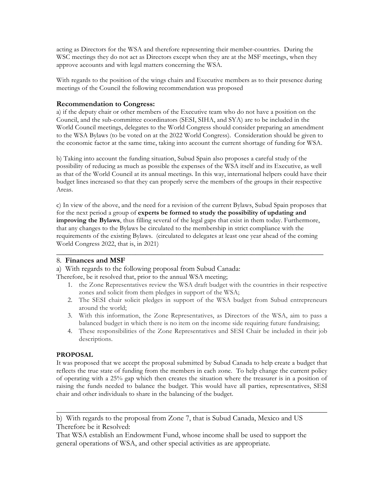acting as Directors for the WSA and therefore representing their member-countries. During the WSC meetings they do not act as Directors except when they are at the MSF meetings, when they approve accounts and with legal matters concerning the WSA.

With regards to the position of the wings chairs and Executive members as to their presence during meetings of the Council the following recommendation was proposed

## **Recommendation to Congress:**

a) if the deputy chair or other members of the Executive team who do not have a position on the Council, and the sub-committee coordinators (SESI, SIHA, and SYA) are to be included in the World Council meetings, delegates to the World Congress should consider preparing an amendment to the WSA Bylaws (to be voted on at the 2022 World Congress). Consideration should be given to the economic factor at the same time, taking into account the current shortage of funding for WSA.

b) Taking into account the funding situation, Subud Spain also proposes a careful study of the possibility of reducing as much as possible the expenses of the WSA itself and its Executive, as well as that of the World Council at its annual meetings. In this way, international helpers could have their budget lines increased so that they can properly serve the members of the groups in their respective Areas.

c) In view of the above, and the need for a revision of the current Bylaws, Subud Spain proposes that for the next period a group of **experts be formed to study the possibility of updating and improving the Bylaws**, thus filling several of the legal gaps that exist in them today. Furthermore, that any changes to the Bylaws be circulated to the membership in strict compliance with the requirements of the existing Bylaws. (circulated to delegates at least one year ahead of the coming World Congress 2022, that is, in 2021)

\_\_\_\_\_\_\_\_\_\_\_\_\_\_\_\_\_\_\_\_\_\_\_\_\_\_\_\_\_\_\_\_\_\_\_\_\_\_\_\_\_\_\_\_\_\_\_\_\_\_\_\_\_\_\_\_\_\_\_\_\_\_\_\_\_\_\_\_\_\_\_

## 8. **Finances and MSF**

a) With regards to the following proposal from Subud Canada:

Therefore, be it resolved that, prior to the annual WSA meeting;

- 1. the Zone Representatives review the WSA draft budget with the countries in their respective zones and solicit from them pledges in support of the WSA;
- 2. The SESI chair solicit pledges in support of the WSA budget from Subud entrepreneurs around the world;
- 3. With this information, the Zone Representatives, as Directors of the WSA, aim to pass a balanced budget in which there is no item on the income side requiring future fundraising;
- 4. These responsibilities of the Zone Representatives and SESI Chair be included in their job descriptions.

## **PROPOSAL**

It was proposed that we accept the proposal submitted by Subud Canada to help create a budget that reflects the true state of funding from the members in each zone. To help change the current policy of operating with a 25% gap which then creates the situation where the treasurer is in a position of raising the funds needed to balance the budget. This would have all parties, representatives, SESI chair and other individuals to share in the balancing of the budget.

\_\_\_\_\_\_\_\_\_\_\_\_\_\_\_\_\_\_\_\_\_\_\_\_\_\_\_\_\_\_\_\_\_\_\_\_\_\_\_\_\_\_\_\_\_\_\_\_\_\_\_\_\_\_\_\_\_\_\_\_\_\_\_\_\_\_\_\_\_\_\_\_

That WSA establish an Endowment Fund, whose income shall be used to support the general operations of WSA, and other special activities as are appropriate.

b) With regards to the proposal from Zone 7, that is Subud Canada, Mexico and US Therefore be it Resolved: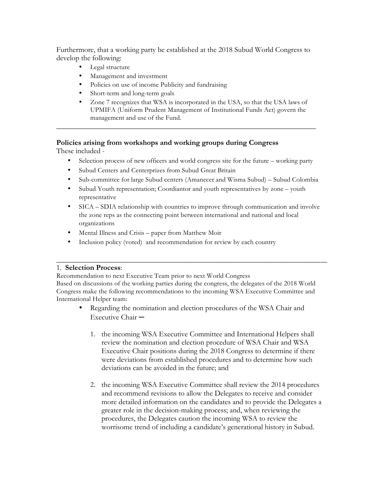Furthermore, that a working party be established at the 2018 Subud World Congress to develop the following:

- Legal structure
- Management and investment
- Policies on use of income Publicity and fundraising
- Short-term and long-term goals
- Zone 7 recognizes that WSA is incorporated in the USA, so that the USA laws of UPMIFA (Uniform Prudent Management of Institutional Funds Act) govern the management and use of the Fund.

\_\_\_\_\_\_\_\_\_\_\_\_\_\_\_\_\_\_\_\_\_\_\_\_\_\_\_\_\_\_\_\_\_\_\_\_\_\_\_\_\_\_\_\_\_\_\_\_\_\_\_\_\_\_\_\_\_\_\_\_\_\_\_\_\_\_\_\_\_

# **Policies arising from workshops and working groups during Congress**

These included -

- Selection process of new officers and world congress site for the future working party
- Subud Centers and Centerprizes from Subud Great Britain
- Sub-committee for large Subud centers (Amanecer and Wisma Subud) Subud Colombia
- Subud Youth representation; Coordiantor and youth representatives by zone youth representative
- SICA SDIA relationship with countries to improve through communication and involve the zone reps as the connecting point between international and national and local organizations
- Mental Illness and Crisis paper from Matthew Moir
- Inclusion policy (voted) and recommendation for review by each country

## 1. **Selection Process**:

Recommendation to next Executive Team prior to next World Congress Based on discussions of the working parties during the congress, the delegates of the 2018 World Congress make the following recommendations to the incoming WSA Executive Committee and International Helper team:

• Regarding the nomination and election procedures of the WSA Chair and Executive Chair ─

\_\_\_\_\_\_\_\_\_\_\_\_\_\_\_\_\_\_\_\_\_\_\_\_\_\_\_\_\_\_\_\_\_\_\_\_\_\_\_\_\_\_\_\_\_\_\_\_\_\_\_\_\_\_\_\_\_\_\_\_\_\_\_\_\_\_\_\_\_\_\_\_

- 1. the incoming WSA Executive Committee and International Helpers shall review the nomination and election procedure of WSA Chair and WSA Executive Chair positions during the 2018 Congress to determine if there were deviations from established procedures and to determine how such deviations can be avoided in the future; and
- 2. the incoming WSA Executive Committee shall review the 2014 procedures and recommend revisions to allow the Delegates to receive and consider more detailed information on the candidates and to provide the Delegates a greater role in the decision-making process; and, when reviewing the procedures, the Delegates caution the incoming WSA to review the worrisome trend of including a candidate's generational history in Subud.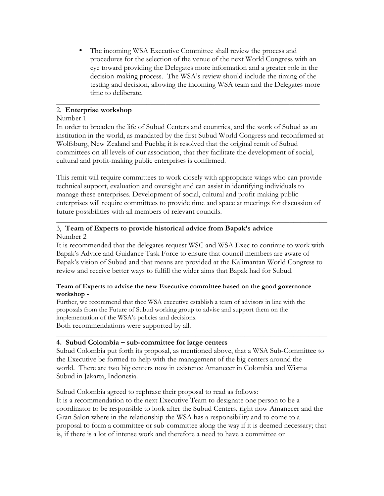The incoming WSA Executive Committee shall review the process and procedures for the selection of the venue of the next World Congress with an eye toward providing the Delegates more information and a greater role in the decision-making process. The WSA's review should include the timing of the testing and decision, allowing the incoming WSA team and the Delegates more time to deliberate.

## 2. **Enterprise workshop**

## Number 1

In order to broaden the life of Subud Centers and countries, and the work of Subud as an institution in the world, as mandated by the first Subud World Congress and reconfirmed at Wolfsburg, New Zealand and Puebla; it is resolved that the original remit of Subud committees on all levels of our association, that they facilitate the development of social, cultural and profit-making public enterprises is confirmed.

\_\_\_\_\_\_\_\_\_\_\_\_\_\_\_\_\_\_\_\_\_\_\_\_\_\_\_\_\_\_\_\_\_\_\_\_\_\_\_\_\_\_\_\_\_\_\_\_\_\_\_\_\_\_\_\_\_\_\_\_\_\_\_\_\_\_\_\_\_\_

This remit will require committees to work closely with appropriate wings who can provide technical support, evaluation and oversight and can assist in identifying individuals to manage these enterprises. Development of social, cultural and profit-making public enterprises will require committees to provide time and space at meetings for discussion of future possibilities with all members of relevant councils.

\_\_\_\_\_\_\_\_\_\_\_\_\_\_\_\_\_\_\_\_\_\_\_\_\_\_\_\_\_\_\_\_\_\_\_\_\_\_\_\_\_\_\_\_\_\_\_\_\_\_\_\_\_\_\_\_\_\_\_\_\_\_\_\_\_\_\_\_\_\_\_\_

## 3, **Team of Experts to provide historical advice from Bapak's advice** Number 2

It is recommended that the delegates request WSC and WSA Exec to continue to work with Bapak's Advice and Guidance Task Force to ensure that council members are aware of Bapak's vision of Subud and that means are provided at the Kalimantan World Congress to review and receive better ways to fulfill the wider aims that Bapak had for Subud.

## **Team of Experts to advise the new Executive committee based on the good governance workshop -**

Further, we recommend that thee WSA executive establish a team of advisors in line with the proposals from the Future of Subud working group to advise and support them on the implementation of the WSA's policies and decisions. Both recommendations were supported by all.

## **4. Subud Colombia – sub-committee for large centers**

Subud Colombia put forth its proposal, as mentioned above, that a WSA Sub-Committee to the Executive be formed to help with the management of the big centers around the world. There are two big centers now in existence Amanecer in Colombia and Wisma Subud in Jakarta, Indonesia.

\_\_\_\_\_\_\_\_\_\_\_\_\_\_\_\_\_\_\_\_\_\_\_\_\_\_\_\_\_\_\_\_\_\_\_\_\_\_\_\_\_\_\_\_\_\_\_\_\_\_\_\_\_\_\_\_\_\_\_\_\_\_\_\_\_\_\_\_\_\_\_\_

Subud Colombia agreed to rephrase their proposal to read as follows:

It is a recommendation to the next Executive Team to designate one person to be a coordinator to be responsible to look after the Subud Centers, right now Amanecer and the Gran Salon where in the relationship the WSA has a responsibility and to come to a proposal to form a committee or sub-committee along the way if it is deemed necessary; that is, if there is a lot of intense work and therefore a need to have a committee or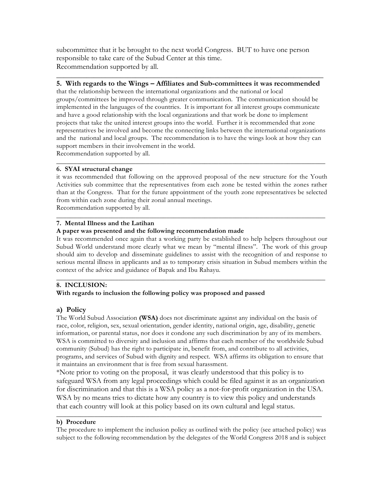subcommittee that it be brought to the next world Congress. BUT to have one person responsible to take care of the Subud Center at this time. Recommendation supported by all.

## **\_\_\_\_\_\_\_\_\_\_\_\_\_\_\_\_\_\_\_\_\_\_\_\_\_\_\_\_\_\_\_\_\_\_\_\_\_\_\_\_\_\_\_\_\_\_\_\_\_\_\_\_\_\_\_\_\_\_\_\_\_\_\_\_\_\_\_\_\_\_\_ 5. With regards to the Wings – Affiliates and Sub-committees it was recommended**

that the relationship between the international organizations and the national or local groups/committees be improved through greater communication. The communication should be implemented in the languages of the countries. It is important for all interest groups communicate and have a good relationship with the local organizations and that work be done to implement projects that take the united interest groups into the world. Further it is recommended that zone representatives be involved and become the connecting links between the international organizations and the national and local groups. The recommendation is to have the wings look at how they can support members in their involvement in the world. Recommendation supported by all.

\_\_\_\_\_\_\_\_\_\_\_\_\_\_\_\_\_\_\_\_\_\_\_\_\_\_\_\_\_\_\_\_\_\_\_\_\_\_\_\_\_\_\_\_\_\_\_\_\_\_\_\_\_\_\_\_\_\_\_\_\_\_\_\_\_\_\_\_\_\_\_\_\_\_\_\_\_\_

## **6. SYAI structural change**

it was recommended that following on the approved proposal of the new structure for the Youth Activities sub committee that the representatives from each zone be tested within the zones rather than at the Congress. That for the future appointment of the youth zone representatives be selected from within each zone during their zonal annual meetings. Recommendation supported by all.

#### \_\_\_\_\_\_\_\_\_\_\_\_\_\_\_\_\_\_\_\_\_\_\_\_\_\_\_\_\_\_\_\_\_\_\_\_\_\_\_\_\_\_\_\_\_\_\_\_\_\_\_\_\_\_\_\_\_\_\_\_\_\_\_\_\_\_\_\_\_\_\_\_\_\_\_\_\_\_ **7. Mental Illness and the Latihan**

### **A paper was presented and the following recommendation made**

It was recommended once again that a working party be established to help helpers throughout our Subud World understand more clearly what we mean by "mental illness". The work of this group should aim to develop and disseminate guidelines to assist with the recognition of and response to serious mental illness in applicants and as to temporary crisis situation in Subud members within the context of the advice and guidance of Bapak and Ibu Rahayu.

#### \_\_\_\_\_\_\_\_\_\_\_\_\_\_\_\_\_\_\_\_\_\_\_\_\_\_\_\_\_\_\_\_\_\_\_\_\_\_\_\_\_\_\_\_\_\_\_\_\_\_\_\_\_\_\_\_\_\_\_\_\_\_\_\_\_\_\_\_\_\_\_\_\_\_\_\_\_\_ **8. INCLUSION:**

## **With regards to inclusion the following policy was proposed and passed**

## **a) Policy**

The World Subud Association **(WSA)** does not discriminate against any individual on the basis of race, color, religion, sex, sexual orientation, gender identity, national origin, age, disability, genetic information, or parental status, nor does it condone any such discrimination by any of its members. WSA is committed to diversity and inclusion and affirms that each member of the worldwide Subud community (Subud) has the right to participate in, benefit from, and contribute to all activities, programs, and services of Subud with dignity and respect. WSA affirms its obligation to ensure that it maintains an environment that is free from sexual harassment.

\*Note prior to voting on the proposal, it was clearly understood that this policy is to safeguard WSA from any legal proceedings which could be filed against it as an organization for discrimination and that this is a WSA policy as a not-for-profit organization in the USA. WSA by no means tries to dictate how any country is to view this policy and understands that each country will look at this policy based on its own cultural and legal status.

## **b) Procedure**

The procedure to implement the inclusion policy as outlined with the policy (see attached policy) was subject to the following recommendation by the delegates of the World Congress 2018 and is subject

\_\_\_\_\_\_\_\_\_\_\_\_\_\_\_\_\_\_\_\_\_\_\_\_\_\_\_\_\_\_\_\_\_\_\_\_\_\_\_\_\_\_\_\_\_\_\_\_\_\_\_\_\_\_\_\_\_\_\_\_\_\_\_\_\_\_\_\_\_\_\_\_\_\_\_\_\_